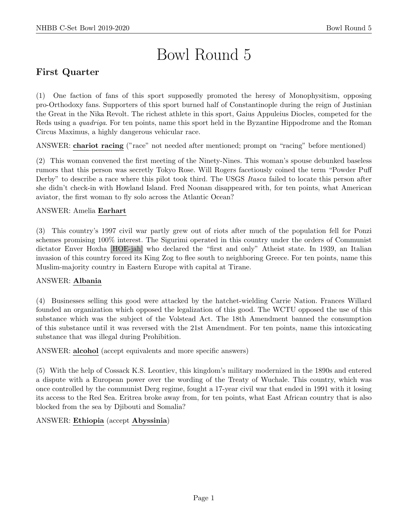# Bowl Round 5

# First Quarter

(1) One faction of fans of this sport supposedly promoted the heresy of Monophysitism, opposing pro-Orthodoxy fans. Supporters of this sport burned half of Constantinople during the reign of Justinian the Great in the Nika Revolt. The richest athlete in this sport, Gaius Appuleius Diocles, competed for the Reds using a *quadriga*. For ten points, name this sport held in the Byzantine Hippodrome and the Roman Circus Maximus, a highly dangerous vehicular race.

ANSWER: chariot racing ("race" not needed after mentioned; prompt on "racing" before mentioned)

(2) This woman convened the first meeting of the Ninety-Nines. This woman's spouse debunked baseless rumors that this person was secretly Tokyo Rose. Will Rogers facetiously coined the term "Powder Puff Derby" to describe a race where this pilot took third. The USGS *Itasca* failed to locate this person after she didn't check-in with Howland Island. Fred Noonan disappeared with, for ten points, what American aviator, the first woman to fly solo across the Atlantic Ocean?

# ANSWER: Amelia Earhart

(3) This country's 1997 civil war partly grew out of riots after much of the population fell for Ponzi schemes promising 100% interest. The Sigurimi operated in this country under the orders of Communist dictator Enver Hoxha [HOE-jah] who declared the "first and only" Atheist state. In 1939, an Italian invasion of this country forced its King Zog to flee south to neighboring Greece. For ten points, name this Muslim-majority country in Eastern Europe with capital at Tirane.

# ANSWER: Albania

(4) Businesses selling this good were attacked by the hatchet-wielding Carrie Nation. Frances Willard founded an organization which opposed the legalization of this good. The WCTU opposed the use of this substance which was the subject of the Volstead Act. The 18th Amendment banned the consumption of this substance until it was reversed with the 21st Amendment. For ten points, name this intoxicating substance that was illegal during Prohibition.

# ANSWER: alcohol (accept equivalents and more specific answers)

(5) With the help of Cossack K.S. Leontiev, this kingdom's military modernized in the 1890s and entered a dispute with a European power over the wording of the Treaty of Wuchale. This country, which was once controlled by the communist Derg regime, fought a 17-year civil war that ended in 1991 with it losing its access to the Red Sea. Eritrea broke away from, for ten points, what East African country that is also blocked from the sea by Djibouti and Somalia?

# ANSWER: Ethiopia (accept Abyssinia)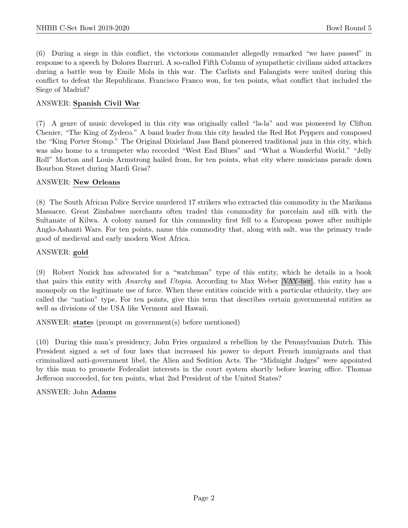(6) During a siege in this conflict, the victorious commander allegedly remarked "we have passed" in response to a speech by Dolores Ibarruri. A so-called Fifth Column of sympathetic civilians aided attackers during a battle won by Emile Mola in this war. The Carlists and Falangists were united during this conflict to defeat the Republicans. Francisco Franco won, for ten points, what conflict that included the Siege of Madrid?

#### ANSWER: Spanish Civil War

(7) A genre of music developed in this city was originally called "la-la" and was pioneered by Clifton Chenier, "The King of Zydeco." A band leader from this city headed the Red Hot Peppers and composed the "King Porter Stomp." The Original Dixieland Jass Band pioneered traditional jazz in this city, which was also home to a trumpeter who recorded "West End Blues" and "What a Wonderful World." "Jelly Roll" Morton and Louis Armstrong hailed from, for ten points, what city where musicians parade down Bourbon Street during Mardi Gras?

#### ANSWER: New Orleans

(8) The South African Police Service murdered 17 strikers who extracted this commodity in the Marikana Massacre. Great Zimbabwe merchants often traded this commodity for porcelain and silk with the Sultanate of Kilwa. A colony named for this commodity first fell to a European power after multiple Anglo-Ashanti Wars. For ten points, name this commodity that, along with salt, was the primary trade good of medieval and early modern West Africa.

#### ANSWER: gold

(9) Robert Nozick has advocated for a "watchman" type of this entity, which he details in a book that pairs this entity with Anarchy and Utopia. According to Max Weber [VAY-ber], this entity has a monopoly on the legitimate use of force. When these entities coincide with a particular ethnicity, they are called the "nation" type. For ten points, give this term that describes certain governmental entities as well as divisions of the USA like Vermont and Hawaii.

ANSWER: states (prompt on government(s) before mentioned)

(10) During this man's presidency, John Fries organized a rebellion by the Pennsylvanian Dutch. This President signed a set of four laws that increased his power to deport French immigrants and that criminalized anti-government libel, the Alien and Sedition Acts. The "Midnight Judges" were appointed by this man to promote Federalist interests in the court system shortly before leaving office. Thomas Jefferson succeeded, for ten points, what 2nd President of the United States?

#### ANSWER: John Adams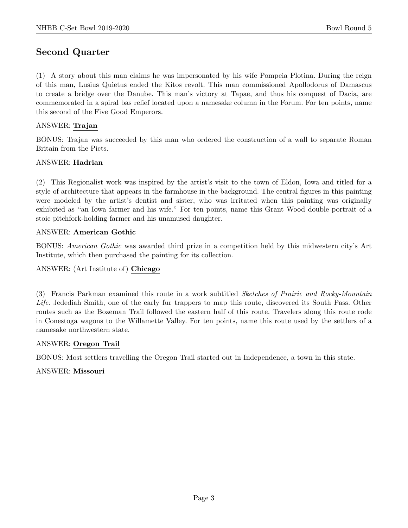# Second Quarter

(1) A story about this man claims he was impersonated by his wife Pompeia Plotina. During the reign of this man, Lusius Quietus ended the Kitos revolt. This man commissioned Apollodorus of Damascus to create a bridge over the Danube. This man's victory at Tapae, and thus his conquest of Dacia, are commemorated in a spiral bas relief located upon a namesake column in the Forum. For ten points, name this second of the Five Good Emperors.

# ANSWER: Trajan

BONUS: Trajan was succeeded by this man who ordered the construction of a wall to separate Roman Britain from the Picts.

# ANSWER: Hadrian

(2) This Regionalist work was inspired by the artist's visit to the town of Eldon, Iowa and titled for a style of architecture that appears in the farmhouse in the background. The central figures in this painting were modeled by the artist's dentist and sister, who was irritated when this painting was originally exhibited as "an Iowa farmer and his wife." For ten points, name this Grant Wood double portrait of a stoic pitchfork-holding farmer and his unamused daughter.

# ANSWER: American Gothic

BONUS: American Gothic was awarded third prize in a competition held by this midwestern city's Art Institute, which then purchased the painting for its collection.

# ANSWER: (Art Institute of) Chicago

(3) Francis Parkman examined this route in a work subtitled Sketches of Prairie and Rocky-Mountain Life. Jedediah Smith, one of the early fur trappers to map this route, discovered its South Pass. Other routes such as the Bozeman Trail followed the eastern half of this route. Travelers along this route rode in Conestoga wagons to the Willamette Valley. For ten points, name this route used by the settlers of a namesake northwestern state.

# ANSWER: Oregon Trail

BONUS: Most settlers travelling the Oregon Trail started out in Independence, a town in this state.

# ANSWER: Missouri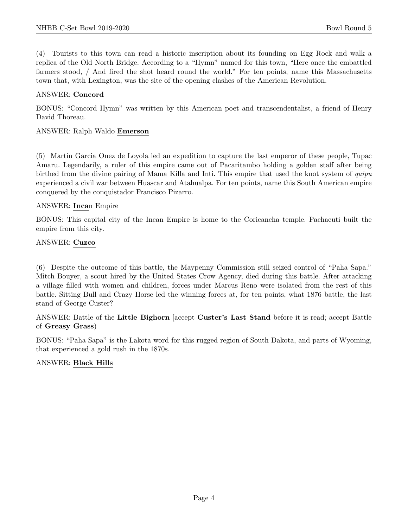(4) Tourists to this town can read a historic inscription about its founding on Egg Rock and walk a replica of the Old North Bridge. According to a "Hymn" named for this town, "Here once the embattled farmers stood, / And fired the shot heard round the world." For ten points, name this Massachusetts town that, with Lexington, was the site of the opening clashes of the American Revolution.

#### ANSWER: Concord

BONUS: "Concord Hymn" was written by this American poet and transcendentalist, a friend of Henry David Thoreau.

#### ANSWER: Ralph Waldo Emerson

(5) Martin Garcia Onez de Loyola led an expedition to capture the last emperor of these people, Tupac Amaru. Legendarily, a ruler of this empire came out of Pacaritambo holding a golden staff after being birthed from the divine pairing of Mama Killa and Inti. This empire that used the knot system of quipu experienced a civil war between Huascar and Atahualpa. For ten points, name this South American empire conquered by the conquistador Francisco Pizarro.

#### ANSWER: Incan Empire

BONUS: This capital city of the Incan Empire is home to the Coricancha temple. Pachacuti built the empire from this city.

#### ANSWER: Cuzco

(6) Despite the outcome of this battle, the Maypenny Commission still seized control of "Paha Sapa." Mitch Bouyer, a scout hired by the United States Crow Agency, died during this battle. After attacking a village filled with women and children, forces under Marcus Reno were isolated from the rest of this battle. Sitting Bull and Crazy Horse led the winning forces at, for ten points, what 1876 battle, the last stand of George Custer?

ANSWER: Battle of the Little Bighorn [accept Custer's Last Stand before it is read; accept Battle of Greasy Grass)

BONUS: "Paha Sapa" is the Lakota word for this rugged region of South Dakota, and parts of Wyoming, that experienced a gold rush in the 1870s.

# ANSWER: Black Hills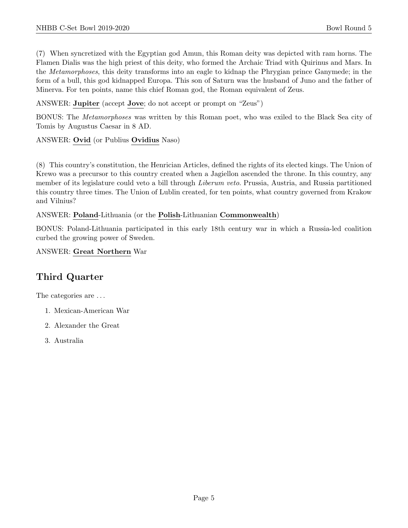(7) When syncretized with the Egyptian god Amun, this Roman deity was depicted with ram horns. The Flamen Dialis was the high priest of this deity, who formed the Archaic Triad with Quirinus and Mars. In the Metamorphoses, this deity transforms into an eagle to kidnap the Phrygian prince Ganymede; in the form of a bull, this god kidnapped Europa. This son of Saturn was the husband of Juno and the father of Minerva. For ten points, name this chief Roman god, the Roman equivalent of Zeus.

ANSWER: Jupiter (accept Jove; do not accept or prompt on "Zeus")

BONUS: The Metamorphoses was written by this Roman poet, who was exiled to the Black Sea city of Tomis by Augustus Caesar in 8 AD.

ANSWER: Ovid (or Publius Ovidius Naso)

(8) This country's constitution, the Henrician Articles, defined the rights of its elected kings. The Union of Krewo was a precursor to this country created when a Jagiellon ascended the throne. In this country, any member of its legislature could veto a bill through *Liberum veto*. Prussia, Austria, and Russia partitioned this country three times. The Union of Lublin created, for ten points, what country governed from Krakow and Vilnius?

ANSWER: Poland-Lithuania (or the Polish-Lithuanian Commonwealth)

BONUS: Poland-Lithuania participated in this early 18th century war in which a Russia-led coalition curbed the growing power of Sweden.

ANSWER: Great Northern War

# Third Quarter

The categories are  $\dots$ 

- 1. Mexican-American War
- 2. Alexander the Great
- 3. Australia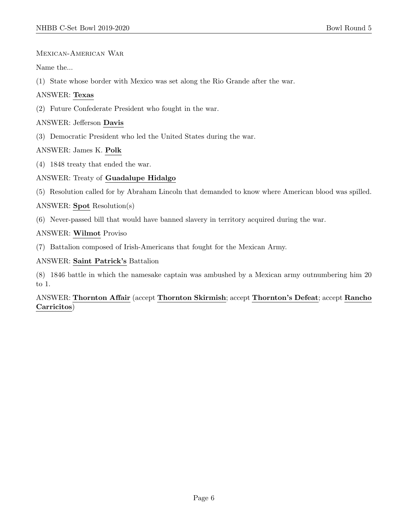# Mexican-American War

Name the...

(1) State whose border with Mexico was set along the Rio Grande after the war.

# ANSWER: Texas

(2) Future Confederate President who fought in the war.

# ANSWER: Jefferson Davis

(3) Democratic President who led the United States during the war.

# ANSWER: James K. Polk

(4) 1848 treaty that ended the war.

# ANSWER: Treaty of Guadalupe Hidalgo

(5) Resolution called for by Abraham Lincoln that demanded to know where American blood was spilled.

# ANSWER: Spot Resolution(s)

(6) Never-passed bill that would have banned slavery in territory acquired during the war.

# ANSWER: Wilmot Proviso

(7) Battalion composed of Irish-Americans that fought for the Mexican Army.

# ANSWER: Saint Patrick's Battalion

(8) 1846 battle in which the namesake captain was ambushed by a Mexican army outnumbering him 20 to 1.

# ANSWER: Thornton Affair (accept Thornton Skirmish; accept Thornton's Defeat; accept Rancho Carricitos)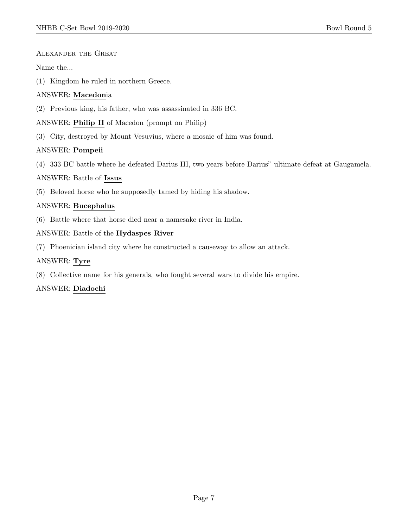# Alexander the Great

Name the...

(1) Kingdom he ruled in northern Greece.

# ANSWER: Macedonia

(2) Previous king, his father, who was assassinated in 336 BC.

# ANSWER: Philip II of Macedon (prompt on Philip)

(3) City, destroyed by Mount Vesuvius, where a mosaic of him was found.

# ANSWER: Pompeii

(4) 333 BC battle where he defeated Darius III, two years before Darius" ultimate defeat at Gaugamela.

# ANSWER: Battle of Issus

(5) Beloved horse who he supposedly tamed by hiding his shadow.

# ANSWER: Bucephalus

(6) Battle where that horse died near a namesake river in India.

# ANSWER: Battle of the Hydaspes River

(7) Phoenician island city where he constructed a causeway to allow an attack.

# ANSWER: Tyre

(8) Collective name for his generals, who fought several wars to divide his empire.

# ANSWER: Diadochi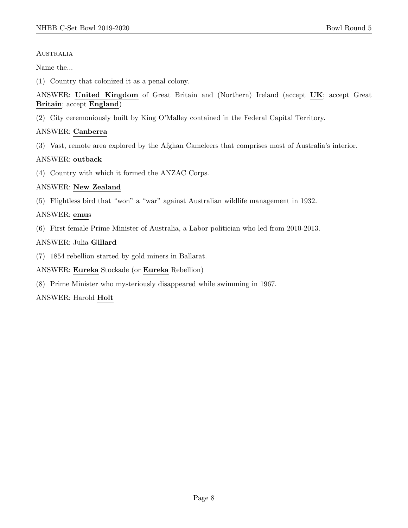#### **AUSTRALIA**

Name the...

(1) Country that colonized it as a penal colony.

ANSWER: United Kingdom of Great Britain and (Northern) Ireland (accept UK; accept Great Britain; accept England)

(2) City ceremoniously built by King O'Malley contained in the Federal Capital Territory.

# ANSWER: Canberra

(3) Vast, remote area explored by the Afghan Cameleers that comprises most of Australia's interior.

# ANSWER: outback

(4) Country with which it formed the ANZAC Corps.

# ANSWER: New Zealand

(5) Flightless bird that "won" a "war" against Australian wildlife management in 1932.

# ANSWER: emus

(6) First female Prime Minister of Australia, a Labor politician who led from 2010-2013.

# ANSWER: Julia Gillard

(7) 1854 rebellion started by gold miners in Ballarat.

ANSWER: Eureka Stockade (or Eureka Rebellion)

(8) Prime Minister who mysteriously disappeared while swimming in 1967.

ANSWER: Harold Holt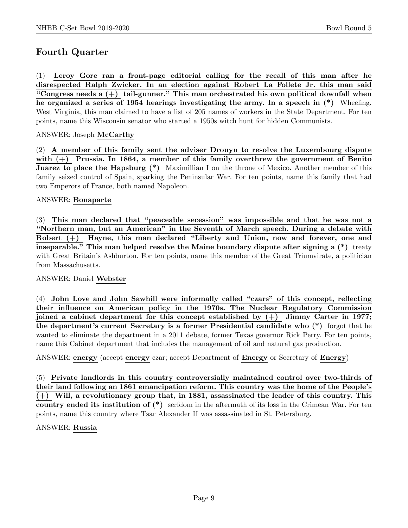# Fourth Quarter

(1) Leroy Gore ran a front-page editorial calling for the recall of this man after he disrespected Ralph Zwicker. In an election against Robert La Follete Jr. this man said "Congress needs a  $(+)$  tail-gunner." This man orchestrated his own political downfall when he organized a series of 1954 hearings investigating the army. In a speech in (\*) Wheeling, West Virginia, this man claimed to have a list of 205 names of workers in the State Department. For ten points, name this Wisconsin senator who started a 1950s witch hunt for hidden Communists.

# ANSWER: Joseph McCarthy

(2) A member of this family sent the adviser Drouyn to resolve the Luxembourg dispute with  $(+)$  Prussia. In 1864, a member of this family overthrew the government of Benito **Juarez to place the Hapsburg (\*)** Maximillian I on the throne of Mexico. Another member of this family seized control of Spain, sparking the Peninsular War. For ten points, name this family that had two Emperors of France, both named Napoleon.

# ANSWER: Bonaparte

(3) This man declared that "peaceable secession" was impossible and that he was not a "Northern man, but an American" in the Seventh of March speech. During a debate with Robert (+) Hayne, this man declared "Liberty and Union, now and forever, one and inseparable." This man helped resolve the Maine boundary dispute after signing a  $(*)$  treaty with Great Britain's Ashburton. For ten points, name this member of the Great Triumvirate, a politician from Massachusetts.

# ANSWER: Daniel Webster

(4) John Love and John Sawhill were informally called "czars" of this concept, reflecting their influence on American policy in the 1970s. The Nuclear Regulatory Commission joined a cabinet department for this concept established by  $(+)$  Jimmy Carter in 1977; the department's current Secretary is a former Presidential candidate who (\*) forgot that he wanted to eliminate the department in a 2011 debate, former Texas governor Rick Perry. For ten points, name this Cabinet department that includes the management of oil and natural gas production.

ANSWER: energy (accept energy czar; accept Department of Energy or Secretary of Energy)

(5) Private landlords in this country controversially maintained control over two-thirds of their land following an 1861 emancipation reform. This country was the home of the People's (+) Will, a revolutionary group that, in 1881, assassinated the leader of this country. This country ended its institution of (\*) serfdom in the aftermath of its loss in the Crimean War. For ten points, name this country where Tsar Alexander II was assassinated in St. Petersburg.

# ANSWER: Russia